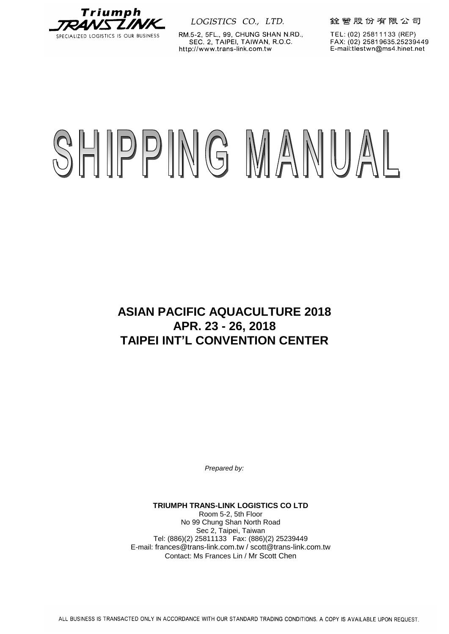

RM.5-2, 5FL., 99, CHUNG SHAN N.RD., SEC. 2, TAIPEI, TAIWAN, R.O.C. http://www.trans-link.com.tw

銓營股份有限公司

TEL: (02) 25811133 (REP) FAX: (02) 25819635.25239449 E-mail:tlestwn@ms4.hinet.net

# SHIPPING MANUAL

**ASIAN PACIFIC AQUACULTURE 2018 APR. 23 - 26, 2018 TAIPEI INT'L CONVENTION CENTER**

*Prepared by:*

**TRIUMPH TRANS-LINK LOGISTICS CO LTD** Room 5-2, 5th Floor No 99 Chung Shan North Road Sec 2, Taipei, Taiwan Tel: (886)(2) 25811133 Fax: (886)(2) 25239449 E-mail: frances@trans-link.com.tw / scott@trans-link.com.tw Contact: Ms Frances Lin / Mr Scott Chen

ALL BUSINESS IS TRANSACTED ONLY IN ACCORDANCE WITH OUR STANDARD TRADING CONDITIONS. A COPY IS AVAILABLE UPON REQUEST.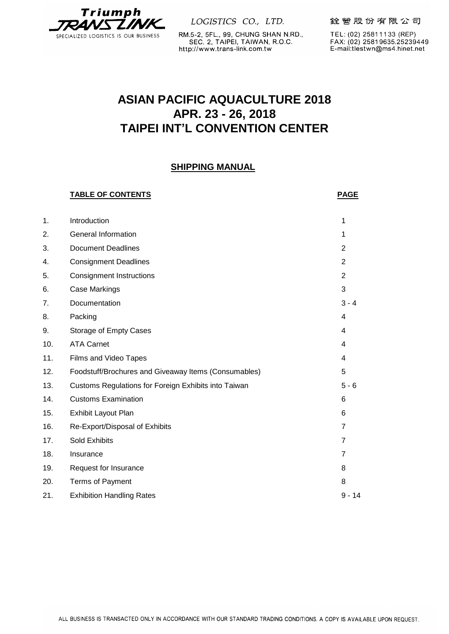

RM.5-2, 5FL., 99, CHUNG SHAN N.RD., SEC. 2, TAIPEI, TAIWAN, R.O.C. http://www.trans-link.com.tw

銓營股份有限公司

TEL: (02) 25811133 (REP) FAX: (02) 25819635.25239449 E-mail:tlestwn@ms4.hinet.net

# **ASIAN PACIFIC AQUACULTURE 2018 APR. 23 - 26, 2018 TAIPEI INT'L CONVENTION CENTER**

# **SHIPPING MANUAL**

# **TABLE OF CONTENTS PAGE** 1. Introduction 1 2. General Information 1 3. Document Deadlines 2 4. Consignment Deadlines 2 5. Consignment Instructions 2 6. Case Markings 3 7. Documentation 3 - 4 8. Packing the contract of the contract of the contract of the contract of the contract of the contract of the contract of the contract of the contract of the contract of the contract of the contract of the contract of the 9. Storage of Empty Cases 4 10. ATA Carnet 4 11. Films and Video Tapes 4 12. Foodstuff/Brochures and Giveaway Items (Consumables) 5 13. Customs Regulations for Foreign Exhibits into Taiwan 5 - 6 14. Customs Examination 6 15. Exhibit Layout Plan 6 16. Re-Export/Disposal of Exhibits 7 17. Sold Exhibits 7 18. Insurance 7 19. Request for Insurance 8 20. Terms of Payment 8 21. Exhibition Handling Rates 8 - 14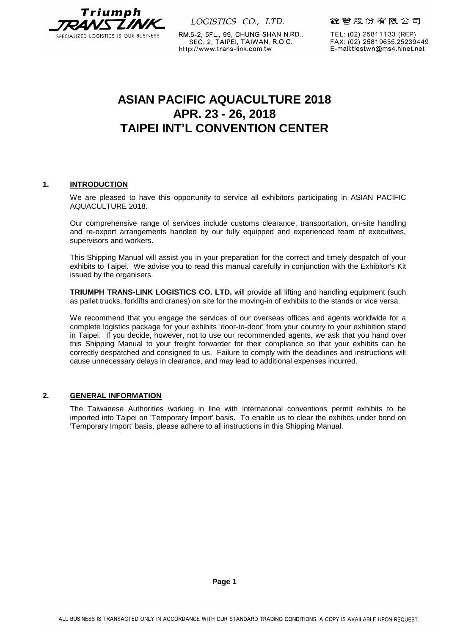

RM.5-2, 5FL., 99, CHUNG SHAN N.RD., SEC. 2, TAIPEI, TAIWAN, R.O.C. http://www.trans-link.com.tw

銓營股份有限公司

TEL: (02) 25811133 (REP) FAX: (02) 25819635.25239449 E-mail:tlestwn@ms4.hinet.net

# **ASIAN PACIFIC AQUACULTURE 2018 APR. 23 - 26, 2018 TAIPEI INT'L CONVENTION CENTER**

#### **1. INTRODUCTION**

We are pleased to have this opportunity to service all exhibitors participating in ASIAN PACIFIC AQUACULTURE 2018.

Our comprehensive range of services include customs clearance, transportation, on-site handling and re-export arrangements handled by our fully equipped and experienced team of executives, supervisors and workers.

This Shipping Manual will assist you in your preparation for the correct and timely despatch of your exhibits to Taipei. We advise you to read this manual carefully in conjunction with the Exhibitor's Kit issued by the organisers.

**TRIUMPH TRANS-LINK LOGISTICS CO. LTD.** will provide all lifting and handling equipment (such as pallet trucks, forklifts and cranes) on site for the moving-in of exhibits to the stands or vice versa.

We recommend that you engage the services of our overseas offices and agents worldwide for a complete logistics package for your exhibits 'door-to-door' from your country to your exhibition stand in Taipei. If you decide, however, not to use our recommended agents, we ask that you hand over this Shipping Manual to your freight forwarder for their compliance so that your exhibits can be correctly despatched and consigned to us. Failure to comply with the deadlines and instructions will cause unnecessary delays in clearance, and may lead to additional expenses incurred.

# **2. GENERAL INFORMATION**

The Taiwanese Authorities working in line with international conventions permit exhibits to be imported into Taipei on 'Temporary Import' basis. To enable us to clear the exhibits under bond on 'Temporary Import' basis, please adhere to all instructions in this Shipping Manual.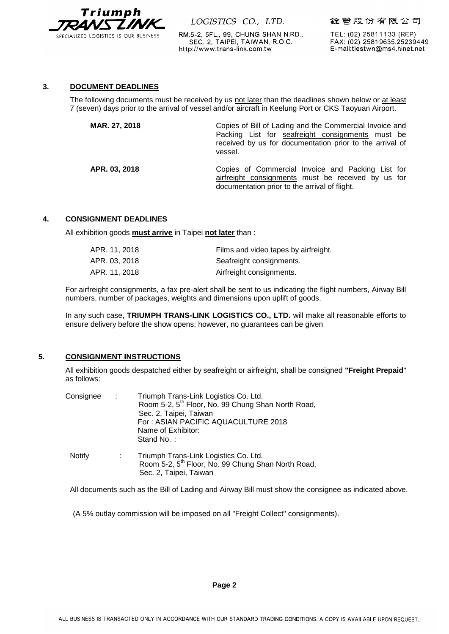

RM.5-2, 5FL., 99, CHUNG SHAN N.RD., SEC. 2, TAIPEI, TAIWAN, R.O.C. http://www.trans-link.com.tw

銓營股份有限公司

TEL: (02) 25811133 (REP) FAX: (02) 25819635.25239449 E-mail:tlestwn@ms4.hinet.net

#### **3. DOCUMENT DEADLINES**

The following documents must be received by us not later than the deadlines shown below or at least 7 (seven) days prior to the arrival of vessel and/or aircraft in Keelung Port or CKS Taoyuan Airport.

| MAR. 27, 2018 | Copies of Bill of Lading and the Commercial Invoice and<br>Packing List for seafreight consignments must be<br>received by us for documentation prior to the arrival of<br>vessel. |
|---------------|------------------------------------------------------------------------------------------------------------------------------------------------------------------------------------|
| APR. 03, 2018 | Copies of Commercial Invoice and Packing List for<br>airfreight consignments must be received by us for<br>documentation prior to the arrival of flight.                           |

#### **4. CONSIGNMENT DEADLINES**

All exhibition goods **must arrive** in Taipei **not later** than :

| APR. 11, 2018 | Films and video tapes by airfreight. |
|---------------|--------------------------------------|
| APR. 03, 2018 | Seafreight consignments.             |
| APR. 11, 2018 | Airfreight consignments.             |

For airfreight consignments, a fax pre-alert shall be sent to us indicating the flight numbers, Airway Bill numbers, number of packages, weights and dimensions upon uplift of goods.

In any such case, **TRIUMPH TRANS-LINK LOGISTICS CO., LTD.** will make all reasonable efforts to ensure delivery before the show opens; however, no guarantees can be given

# **5. CONSIGNMENT INSTRUCTIONS**

All exhibition goods despatched either by seafreight or airfreight, shall be consigned **"Freight Prepaid**" as follows:

| Consignee     | $\sim 100$ | Triumph Trans-Link Logistics Co. Ltd.<br>Room 5-2, 5 <sup>th</sup> Floor, No. 99 Chung Shan North Road,<br>Sec. 2, Taipei, Taiwan<br>For: ASIAN PACIFIC AQUACULTURE 2018<br>Name of Exhibitor:<br>Stand No.: |
|---------------|------------|--------------------------------------------------------------------------------------------------------------------------------------------------------------------------------------------------------------|
| <b>Notify</b> |            | Triumph Trans-Link Logistics Co. Ltd.<br>Room 5-2, 5 <sup>th</sup> Floor, No. 99 Chung Shan North Road,<br>Sec. 2, Taipei, Taiwan                                                                            |

All documents such as the Bill of Lading and Airway Bill must show the consignee as indicated above.

(A 5% outlay commission will be imposed on all "Freight Collect" consignments).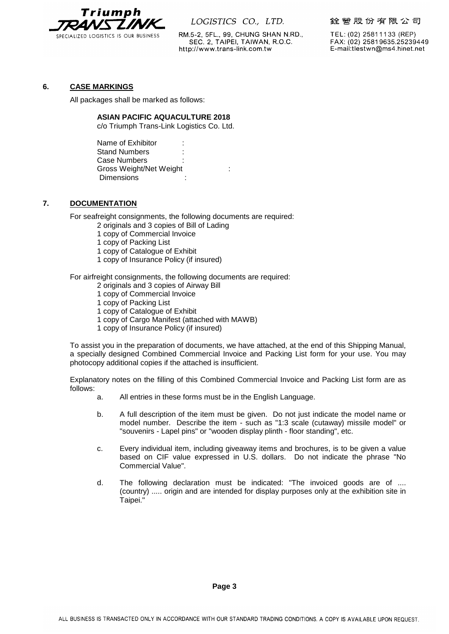

RM.5-2, 5FL., 99, CHUNG SHAN N.RD., SEC. 2, TAIPEI, TAIWAN, R.O.C. http://www.trans-link.com.tw

銓營股份有限公司

TEL: (02) 25811133 (REP) FAX: (02) 25819635.25239449 E-mail:tlestwn@ms4.hinet.net

#### **6. CASE MARKINGS**

All packages shall be marked as follows:

#### **ASIAN PACIFIC AQUACULTURE 2018**

c/o Triumph Trans-Link Logistics Co. Ltd.

Name of Exhibitor : Stand Numbers Case Numbers Gross Weight/Net Weight : **Dimensions** 

# **7. DOCUMENTATION**

For seafreight consignments, the following documents are required:

2 originals and 3 copies of Bill of Lading

- 1 copy of Commercial Invoice
- 1 copy of Packing List
- 1 copy of Catalogue of Exhibit
- 1 copy of Insurance Policy (if insured)

For airfreight consignments, the following documents are required:

- 2 originals and 3 copies of Airway Bill
- 1 copy of Commercial Invoice
- 1 copy of Packing List
- 1 copy of Catalogue of Exhibit
- 1 copy of Cargo Manifest (attached with MAWB)
- 1 copy of Insurance Policy (if insured)

To assist you in the preparation of documents, we have attached, at the end of this Shipping Manual, a specially designed Combined Commercial Invoice and Packing List form for your use. You may photocopy additional copies if the attached is insufficient.

Explanatory notes on the filling of this Combined Commercial Invoice and Packing List form are as follows:

- a. All entries in these forms must be in the English Language.
- b. A full description of the item must be given. Do not just indicate the model name or model number. Describe the item - such as "1:3 scale (cutaway) missile model" or "souvenirs - Lapel pins" or "wooden display plinth - floor standing", etc.
- c. Every individual item, including giveaway items and brochures, is to be given a value based on CIF value expressed in U.S. dollars. Do not indicate the phrase "No Commercial Value".
- d. The following declaration must be indicated: "The invoiced goods are of .... (country) ..... origin and are intended for display purposes only at the exhibition site in Taipei."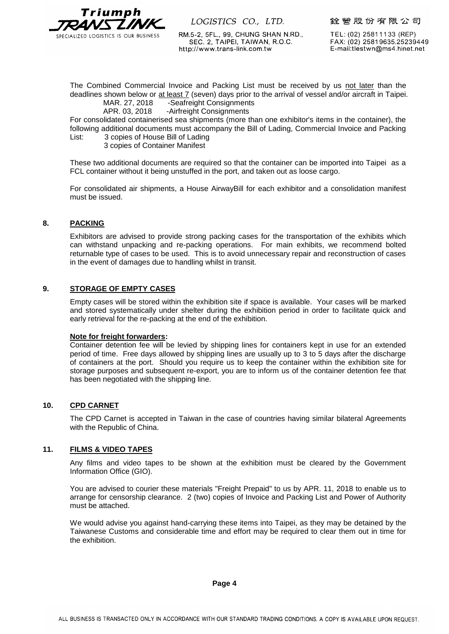

RM.5-2, 5FL., 99, CHUNG SHAN N.RD., SEC. 2, TAIPEI, TAIWAN, R.O.C. http://www.trans-link.com.tw

銓營股份有限公司

TEL: (02) 25811133 (REP) FAX: (02) 25819635.25239449 E-mail:tlestwn@ms4.hinet.net

The Combined Commercial Invoice and Packing List must be received by us not later than the deadlines shown below or at least 7 (seven) days prior to the arrival of vessel and/or aircraft in Taipei. MAR. 27, 2018 -Seafreight Consignments

APR. 03, 2018 -Airfreight Consignments

For consolidated containerised sea shipments (more than one exhibitor's items in the container), the following additional documents must accompany the Bill of Lading, Commercial Invoice and Packing List: 3 copies of House Bill of Lading

3 copies of Container Manifest

These two additional documents are required so that the container can be imported into Taipei as a FCL container without it being unstuffed in the port, and taken out as loose cargo.

For consolidated air shipments, a House AirwayBill for each exhibitor and a consolidation manifest must be issued.

#### **8. PACKING**

Exhibitors are advised to provide strong packing cases for the transportation of the exhibits which can withstand unpacking and re-packing operations. For main exhibits, we recommend bolted returnable type of cases to be used. This is to avoid unnecessary repair and reconstruction of cases in the event of damages due to handling whilst in transit.

#### **9. STORAGE OF EMPTY CASES**

Empty cases will be stored within the exhibition site if space is available. Your cases will be marked and stored systematically under shelter during the exhibition period in order to facilitate quick and early retrieval for the re-packing at the end of the exhibition.

#### **Note for freight forwarders:**

Container detention fee will be levied by shipping lines for containers kept in use for an extended period of time. Free days allowed by shipping lines are usually up to 3 to 5 days after the discharge of containers at the port. Should you require us to keep the container within the exhibition site for storage purposes and subsequent re-export, you are to inform us of the container detention fee that has been negotiated with the shipping line.

#### **10. CPD CARNET**

The CPD Carnet is accepted in Taiwan in the case of countries having similar bilateral Agreements with the Republic of China.

#### **11. FILMS & VIDEO TAPES**

Any films and video tapes to be shown at the exhibition must be cleared by the Government Information Office (GIO).

You are advised to courier these materials "Freight Prepaid" to us by APR. 11, 2018 to enable us to arrange for censorship clearance. 2 (two) copies of Invoice and Packing List and Power of Authority must be attached.

We would advise you against hand-carrying these items into Taipei, as they may be detained by the Taiwanese Customs and considerable time and effort may be required to clear them out in time for the exhibition.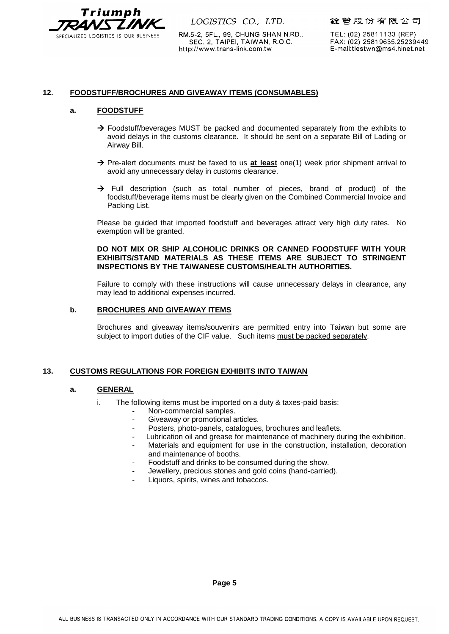

RM.5-2, 5FL., 99, CHUNG SHAN N.RD., SEC. 2, TAIPEI, TAIWAN, R.O.C. http://www.trans-link.com.tw

銓營股份有限公司

TEL: (02) 25811133 (REP) FAX: (02) 25819635.25239449 E-mail:tlestwn@ms4.hinet.net

#### **12. FOODSTUFF/BROCHURES AND GIVEAWAY ITEMS (CONSUMABLES)**

#### **a. FOODSTUFF**

- $\rightarrow$  Foodstuff/beverages MUST be packed and documented separately from the exhibits to avoid delays in the customs clearance. It should be sent on a separate Bill of Lading or Airway Bill.
- → Pre-alert documents must be faxed to us at least one(1) week prior shipment arrival to avoid any unnecessary delay in customs clearance.
- $\rightarrow$  Full description (such as total number of pieces, brand of product) of the foodstuff/beverage items must be clearly given on the Combined Commercial Invoice and Packing List.

Please be guided that imported foodstuff and beverages attract very high duty rates. No exemption will be granted.

#### **DO NOT MIX OR SHIP ALCOHOLIC DRINKS OR CANNED FOODSTUFF WITH YOUR EXHIBITS/STAND MATERIALS AS THESE ITEMS ARE SUBJECT TO STRINGENT INSPECTIONS BY THE TAIWANESE CUSTOMS/HEALTH AUTHORITIES.**

Failure to comply with these instructions will cause unnecessary delays in clearance, any may lead to additional expenses incurred.

#### **b. BROCHURES AND GIVEAWAY ITEMS**

Brochures and giveaway items/souvenirs are permitted entry into Taiwan but some are subject to import duties of the CIF value. Such items must be packed separately.

#### **13. CUSTOMS REGULATIONS FOR FOREIGN EXHIBITS INTO TAIWAN**

#### **a. GENERAL**

- i. The following items must be imported on a duty & taxes-paid basis:
	- Non-commercial samples.
	- Giveaway or promotional articles.
	- Posters, photo-panels, catalogues, brochures and leaflets.
	- Lubrication oil and grease for maintenance of machinery during the exhibition.
	- Materials and equipment for use in the construction, installation, decoration and maintenance of booths.
	- Foodstuff and drinks to be consumed during the show.
	- Jewellery, precious stones and gold coins (hand-carried).
	- Liquors, spirits, wines and tobaccos.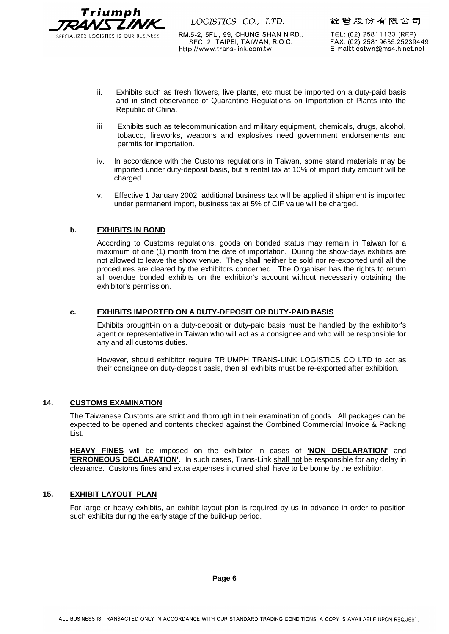

RM.5-2, 5FL., 99, CHUNG SHAN N.RD., SEC. 2, TAIPEI, TAIWAN, R.O.C. http://www.trans-link.com.tw

銓營股份有限公司

TEL: (02) 25811133 (REP) FAX: (02) 25819635.25239449 E-mail:tlestwn@ms4.hinet.net

- ii. Exhibits such as fresh flowers, live plants, etc must be imported on a duty-paid basis and in strict observance of Quarantine Regulations on Importation of Plants into the Republic of China.
- iii Exhibits such as telecommunication and military equipment, chemicals, drugs, alcohol, tobacco, fireworks, weapons and explosives need government endorsements and permits for importation.
- iv. In accordance with the Customs regulations in Taiwan, some stand materials may be imported under duty-deposit basis, but a rental tax at 10% of import duty amount will be charged.
- v. Effective 1 January 2002, additional business tax will be applied if shipment is imported under permanent import, business tax at 5% of CIF value will be charged.

# **b. EXHIBITS IN BOND**

According to Customs regulations, goods on bonded status may remain in Taiwan for a maximum of one (1) month from the date of importation. During the show-days exhibits are not allowed to leave the show venue. They shall neither be sold nor re-exported until all the procedures are cleared by the exhibitors concerned. The Organiser has the rights to return all overdue bonded exhibits on the exhibitor's account without necessarily obtaining the exhibitor's permission.

#### **c. EXHIBITS IMPORTED ON A DUTY-DEPOSIT OR DUTY-PAID BASIS**

Exhibits brought-in on a duty-deposit or duty-paid basis must be handled by the exhibitor's agent or representative in Taiwan who will act as a consignee and who will be responsible for any and all customs duties.

However, should exhibitor require TRIUMPH TRANS-LINK LOGISTICS CO LTD to act as their consignee on duty-deposit basis, then all exhibits must be re-exported after exhibition.

#### **14. CUSTOMS EXAMINATION**

The Taiwanese Customs are strict and thorough in their examination of goods. All packages can be expected to be opened and contents checked against the Combined Commercial Invoice & Packing List.

**HEAVY FINES** will be imposed on the exhibitor in cases of **'NON DECLARATION'** and **'ERRONEOUS DECLARATION'**. In such cases, Trans-Link shall not be responsible for any delay in clearance. Customs fines and extra expenses incurred shall have to be borne by the exhibitor.

# **15. EXHIBIT LAYOUT PLAN**

For large or heavy exhibits, an exhibit layout plan is required by us in advance in order to position such exhibits during the early stage of the build-up period.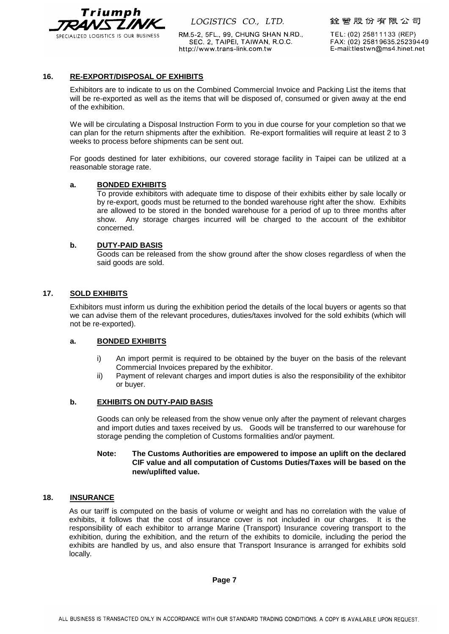

RM.5-2, 5FL., 99, CHUNG SHAN N.RD., SEC. 2, TAIPEI, TAIWAN, R.O.C. http://www.trans-link.com.tw

銓營股份有限公司

TEL: (02) 25811133 (REP) FAX: (02) 25819635.25239449 E-mail:tlestwn@ms4.hinet.net

#### **16. RE-EXPORT/DISPOSAL OF EXHIBITS**

Exhibitors are to indicate to us on the Combined Commercial Invoice and Packing List the items that will be re-exported as well as the items that will be disposed of, consumed or given away at the end of the exhibition.

We will be circulating a Disposal Instruction Form to you in due course for your completion so that we can plan for the return shipments after the exhibition. Re-export formalities will require at least 2 to 3 weeks to process before shipments can be sent out.

For goods destined for later exhibitions, our covered storage facility in Taipei can be utilized at a reasonable storage rate.

#### **a. BONDED EXHIBITS**

To provide exhibitors with adequate time to dispose of their exhibits either by sale locally or by re-export, goods must be returned to the bonded warehouse right after the show. Exhibits are allowed to be stored in the bonded warehouse for a period of up to three months after show. Any storage charges incurred will be charged to the account of the exhibitor concerned.

#### **b. DUTY-PAID BASIS**

Goods can be released from the show ground after the show closes regardless of when the said goods are sold.

#### **17. SOLD EXHIBITS**

Exhibitors must inform us during the exhibition period the details of the local buyers or agents so that we can advise them of the relevant procedures, duties/taxes involved for the sold exhibits (which will not be re-exported).

#### **a. BONDED EXHIBITS**

- i) An import permit is required to be obtained by the buyer on the basis of the relevant Commercial Invoices prepared by the exhibitor.
- ii) Payment of relevant charges and import duties is also the responsibility of the exhibitor or buyer.

#### **b. EXHIBITS ON DUTY-PAID BASIS**

Goods can only be released from the show venue only after the payment of relevant charges and import duties and taxes received by us. Goods will be transferred to our warehouse for storage pending the completion of Customs formalities and/or payment.

#### **Note: The Customs Authorities are empowered to impose an uplift on the declared CIF value and all computation of Customs Duties/Taxes will be based on the new/uplifted value.**

#### **18. INSURANCE**

As our tariff is computed on the basis of volume or weight and has no correlation with the value of exhibits, it follows that the cost of insurance cover is not included in our charges. It is the responsibility of each exhibitor to arrange Marine (Transport) Insurance covering transport to the exhibition, during the exhibition, and the return of the exhibits to domicile, including the period the exhibits are handled by us, and also ensure that Transport Insurance is arranged for exhibits sold locally.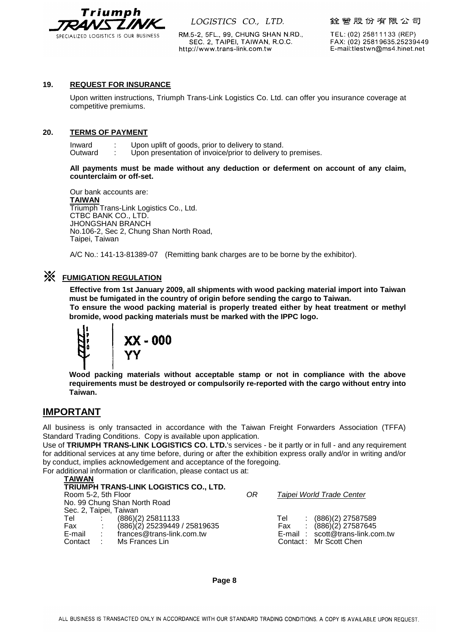

RM.5-2, 5FL., 99, CHUNG SHAN N.RD., SEC. 2, TAIPEI, TAIWAN, R.O.C. http://www.trans-link.com.tw

銓營股份有限公司

TEL: (02) 25811133 (REP) FAX: (02) 25819635.25239449 E-mail:tlestwn@ms4.hinet.net

#### **19. REQUEST FOR INSURANCE**

Upon written instructions, Triumph Trans-Link Logistics Co. Ltd. can offer you insurance coverage at competitive premiums.

#### **20. TERMS OF PAYMENT**

Inward : Upon uplift of goods, prior to delivery to stand.<br>Outward : Upon presentation of invoice/prior to delivery to Upon presentation of invoice/prior to delivery to premises.

**All payments must be made without any deduction or deferment on account of any claim, counterclaim or off-set.**

Our bank accounts are: **TAIWAN** Triumph Trans-Link Logistics Co., Ltd. CTBC BANK CO., LTD. JHONGSHAN BRANCH No.106-2, Sec 2, Chung Shan North Road, Taipei, Taiwan

A/C No.: 141-13-81389-07 (Remitting bank charges are to be borne by the exhibitor).

# ※ **FUMIGATION REGULATION**

 **Effective from 1st January 2009, all shipments with wood packing material import into Taiwan must be fumigated in the country of origin before sending the cargo to Taiwan.**

 **To ensure the wood packing material is properly treated either by heat treatment or methyl bromide, wood packing materials must be marked with the IPPC logo.**



**Wood packing materials without acceptable stamp or not in compliance with the above requirements must be destroyed or compulsorily re-reported with the cargo without entry into Taiwan.**

# **IMPORTANT**

All business is only transacted in accordance with the Taiwan Freight Forwarders Association (TFFA) Standard Trading Conditions. Copy is available upon application.

Use of **TRIUMPH TRANS-LINK LOGISTICS CO. LTD.**'s services - be it partly or in full - and any requirement for additional services at any time before, during or after the exhibition express orally and/or in writing and/or by conduct, implies acknowledgement and acceptance of the foregoing.

For additional information or clarification, please contact us at:

| <b>TAIWAN</b>          |  |                                        |    |                                 |
|------------------------|--|----------------------------------------|----|---------------------------------|
|                        |  | TRIUMPH TRANS-LINK LOGISTICS CO., LTD. |    |                                 |
| Room 5-2, 5th Floor    |  |                                        | 0R | Taipei World Trade Center       |
|                        |  | No. 99 Chung Shan North Road           |    |                                 |
| Sec. 2, Taipei, Taiwan |  |                                        |    |                                 |
|                        |  | Tel : (886)(2) 25811133                |    | $(886)(2)$ 27587589<br>Tel      |
| Fax :                  |  | (886)(2) 25239449 / 25819635           |    | $(886)(2)$ 27587645<br>Fax      |
|                        |  | E-mail : frances@trans-link.com.tw     |    | E-mail: scott@trans-link.com.tw |
| Contact                |  | Ms Frances Lin                         |    | Contact: Mr Scott Chen          |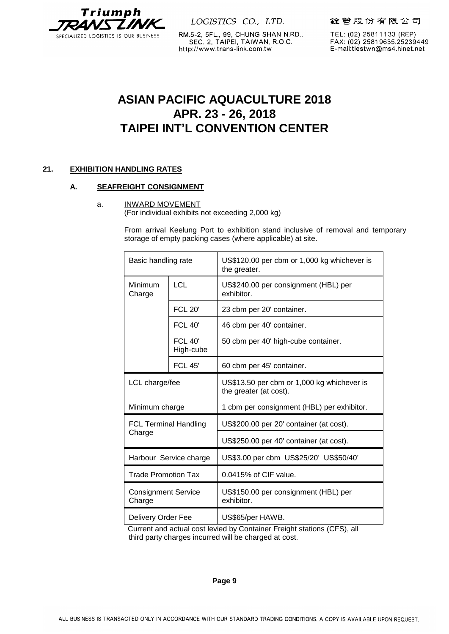

RM.5-2, 5FL., 99, CHUNG SHAN N.RD., SEC. 2, TAIPEI, TAIWAN, R.O.C. http://www.trans-link.com.tw

銓營股份有限公司

TEL: (02) 25811133 (REP) FAX: (02) 25819635.25239449 E-mail:tlestwn@ms4.hinet.net

# **ASIAN PACIFIC AQUACULTURE 2018 APR. 23 - 26, 2018 TAIPEI INT'L CONVENTION CENTER**

# **21. EXHIBITION HANDLING RATES**

# **A. SEAFREIGHT CONSIGNMENT**

a. INWARD MOVEMENT

(For individual exhibits not exceeding 2,000 kg)

From arrival Keelung Port to exhibition stand inclusive of removal and temporary storage of empty packing cases (where applicable) at site.

| Basic handling rate                  |                        | US\$120.00 per cbm or 1,000 kg whichever is<br>the greater.          |
|--------------------------------------|------------------------|----------------------------------------------------------------------|
| Minimum<br>Charge                    | <b>LCL</b>             | US\$240.00 per consignment (HBL) per<br>exhibitor.                   |
|                                      | <b>FCL 20'</b>         | 23 cbm per 20' container.                                            |
|                                      | <b>FCL 40'</b>         | 46 cbm per 40' container.                                            |
|                                      | $FCL$ 40'<br>High-cube | 50 cbm per 40' high-cube container.                                  |
|                                      | <b>FCL 45'</b>         | 60 cbm per 45' container.                                            |
| LCL charge/fee                       |                        | US\$13.50 per cbm or 1,000 kg whichever is<br>the greater (at cost). |
| Minimum charge                       |                        | 1 cbm per consignment (HBL) per exhibitor.                           |
| <b>FCL Terminal Handling</b>         |                        | US\$200.00 per 20' container (at cost).                              |
| Charge                               |                        | US\$250.00 per 40' container (at cost).                              |
| Harbour Service charge               |                        | US\$3.00 per cbm US\$25/20' US\$50/40'                               |
| <b>Trade Promotion Tax</b>           |                        | 0.0415% of CIF value.                                                |
| <b>Consignment Service</b><br>Charge |                        | US\$150.00 per consignment (HBL) per<br>exhibitor.                   |
| Delivery Order Fee                   |                        | US\$65/per HAWB.                                                     |

Current and actual cost levied by Container Freight stations (CFS), all third party charges incurred will be charged at cost.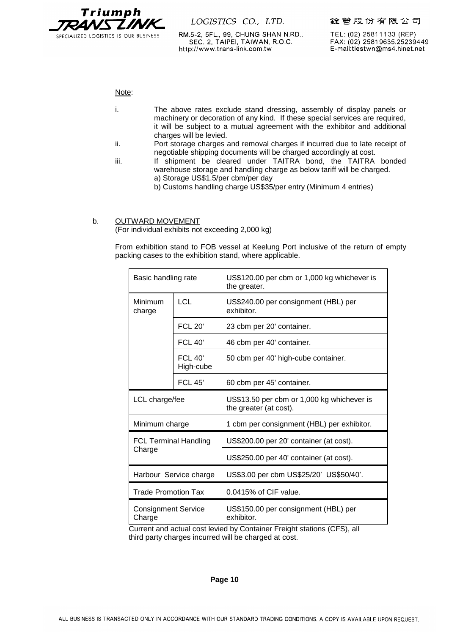

RM.5-2, 5FL., 99, CHUNG SHAN N.RD., SEC. 2, TAIPEI, TAIWAN, R.O.C. http://www.trans-link.com.tw

TEL: (02) 25811133 (REP) FAX: (02) 25819635.25239449 E-mail:tlestwn@ms4.hinet.net

Note:

- i. The above rates exclude stand dressing, assembly of display panels or machinery or decoration of any kind. If these special services are required, it will be subject to a mutual agreement with the exhibitor and additional charges will be levied.
- ii. Port storage charges and removal charges if incurred due to late receipt of negotiable shipping documents will be charged accordingly at cost.
- iii. If shipment be cleared under TAITRA bond, the TAITRA bonded warehouse storage and handling charge as below tariff will be charged. a) Storage US\$1.5/per cbm/per day
	- b) Customs handling charge US\$35/per entry (Minimum 4 entries)

#### b. OUTWARD MOVEMENT

(For individual exhibits not exceeding 2,000 kg)

From exhibition stand to FOB vessel at Keelung Port inclusive of the return of empty packing cases to the exhibition stand, where applicable.

| Basic handling rate                    |                             | US\$120.00 per cbm or 1,000 kg whichever is<br>the greater.          |
|----------------------------------------|-----------------------------|----------------------------------------------------------------------|
| Minimum<br>charge                      | <b>LCL</b>                  | US\$240.00 per consignment (HBL) per<br>exhibitor.                   |
|                                        | <b>FCL 20'</b>              | 23 cbm per 20' container.                                            |
|                                        | <b>FCL 40'</b>              | 46 cbm per 40' container.                                            |
|                                        | <b>FCL 40'</b><br>High-cube | 50 cbm per 40' high-cube container.                                  |
|                                        | <b>FCL 45'</b>              | 60 cbm per 45' container.                                            |
| LCL charge/fee                         |                             | US\$13.50 per cbm or 1,000 kg whichever is<br>the greater (at cost). |
| Minimum charge                         |                             | 1 cbm per consignment (HBL) per exhibitor.                           |
| <b>FCL Terminal Handling</b><br>Charge |                             | US\$200.00 per 20' container (at cost).                              |
|                                        |                             | US\$250.00 per 40' container (at cost).                              |
| Harbour Service charge                 |                             | US\$3.00 per cbm US\$25/20' US\$50/40'.                              |
| <b>Trade Promotion Tax</b>             |                             | 0.0415% of CIF value.                                                |
| <b>Consignment Service</b><br>Charge   |                             | US\$150.00 per consignment (HBL) per<br>exhibitor.                   |

Current and actual cost levied by Container Freight stations (CFS), all third party charges incurred will be charged at cost.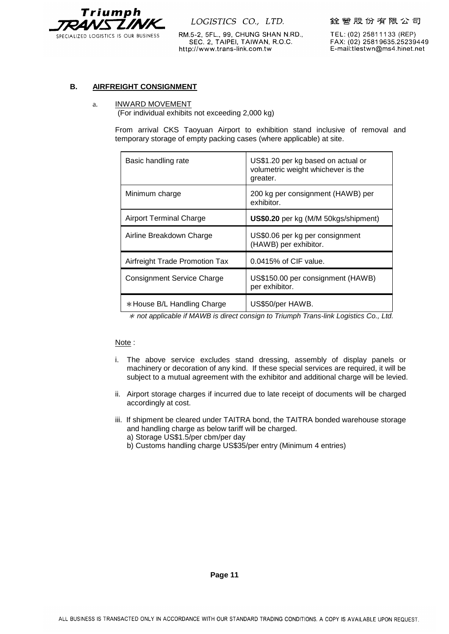

銓營股份有限公司

RM.5-2, 5FL., 99, CHUNG SHAN N.RD., SEC. 2, TAIPEI, TAIWAN, R.O.C. http://www.trans-link.com.tw

TEL: (02) 25811133 (REP) FAX: (02) 25819635.25239449 E-mail:tlestwn@ms4.hinet.net

# **B. AIRFREIGHT CONSIGNMENT**

#### a. INWARD MOVEMENT

(For individual exhibits not exceeding 2,000 kg)

From arrival CKS Taoyuan Airport to exhibition stand inclusive of removal and temporary storage of empty packing cases (where applicable) at site.

| Basic handling rate                   | US\$1.20 per kg based on actual or<br>volumetric weight whichever is the<br>greater. |
|---------------------------------------|--------------------------------------------------------------------------------------|
| Minimum charge                        | 200 kg per consignment (HAWB) per<br>exhibitor.                                      |
| <b>Airport Terminal Charge</b>        | US\$0.20 per kg (M/M 50kgs/shipment)                                                 |
| Airline Breakdown Charge              | US\$0.06 per kg per consignment<br>(HAWB) per exhibitor.                             |
| <b>Airfreight Trade Promotion Tax</b> | 0.0415% of CIF value.                                                                |
| <b>Consignment Service Charge</b>     | US\$150.00 per consignment (HAWB)<br>per exhibitor.                                  |
| * House B/L Handling Charge           | US\$50/per HAWB.                                                                     |

\* *not applicable if MAWB is direct consign to Triumph Trans-link Logistics Co., Ltd.*

#### Note :

- i. The above service excludes stand dressing, assembly of display panels or machinery or decoration of any kind. If these special services are required, it will be subject to a mutual agreement with the exhibitor and additional charge will be levied.
- ii. Airport storage charges if incurred due to late receipt of documents will be charged accordingly at cost.
- iii. If shipment be cleared under TAITRA bond, the TAITRA bonded warehouse storage and handling charge as below tariff will be charged.
	- a) Storage US\$1.5/per cbm/per day
	- b) Customs handling charge US\$35/per entry (Minimum 4 entries)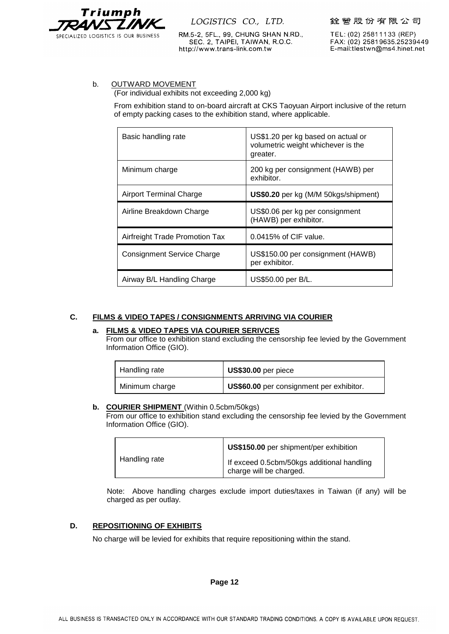

RM.5-2, 5FL., 99, CHUNG SHAN N.RD., SEC. 2, TAIPEI, TAIWAN, R.O.C. http://www.trans-link.com.tw

TEL: (02) 25811133 (REP) FAX: (02) 25819635.25239449 E-mail:tlestwn@ms4.hinet.net

#### b. OUTWARD MOVEMENT

(For individual exhibits not exceeding 2,000 kg)

From exhibition stand to on-board aircraft at CKS Taoyuan Airport inclusive of the return of empty packing cases to the exhibition stand, where applicable.

| Basic handling rate               | US\$1.20 per kg based on actual or<br>volumetric weight whichever is the<br>greater. |
|-----------------------------------|--------------------------------------------------------------------------------------|
| Minimum charge                    | 200 kg per consignment (HAWB) per<br>exhibitor.                                      |
| <b>Airport Terminal Charge</b>    | <b>US\$0.20</b> per kg (M/M 50kgs/shipment)                                          |
| Airline Breakdown Charge          | US\$0.06 per kg per consignment                                                      |
|                                   | (HAWB) per exhibitor.                                                                |
| Airfreight Trade Promotion Tax    | $0.0415\%$ of CIF value.                                                             |
| <b>Consignment Service Charge</b> | US\$150.00 per consignment (HAWB)<br>per exhibitor.                                  |

# **C. FILMS & VIDEO TAPES / CONSIGNMENTS ARRIVING VIA COURIER**

#### **a. FILMS & VIDEO TAPES VIA COURIER SERIVCES**

From our office to exhibition stand excluding the censorship fee levied by the Government Information Office (GIO).

| Handling rate  | US\$30.00 per piece                      |
|----------------|------------------------------------------|
| Minimum charge | US\$60.00 per consignment per exhibitor. |

#### **b. COURIER SHIPMENT** (Within 0.5cbm/50kgs)

From our office to exhibition stand excluding the censorship fee levied by the Government Information Office (GIO).

|               | US\$150.00 per shipment/per exhibition                                |
|---------------|-----------------------------------------------------------------------|
| Handling rate | If exceed 0.5cbm/50kgs additional handling<br>charge will be charged. |

Note: Above handling charges exclude import duties/taxes in Taiwan (if any) will be charged as per outlay.

#### **D. REPOSITIONING OF EXHIBITS**

No charge will be levied for exhibits that require repositioning within the stand.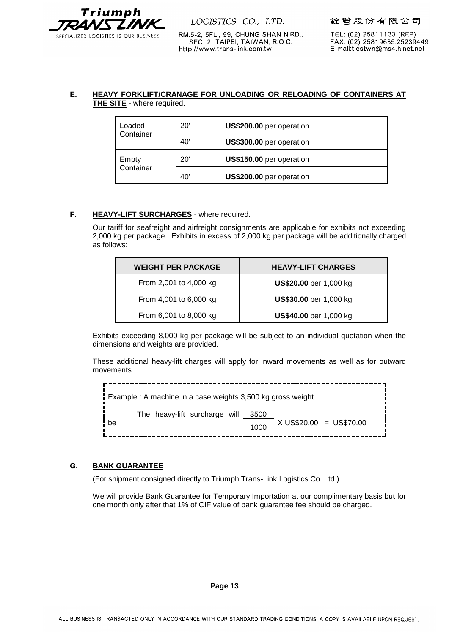

RM.5-2, 5FL., 99, CHUNG SHAN N.RD.,

SEC. 2, TAIPEI, TAIWAN, R.O.C.

http://www.trans-link.com.tw

TEL: (02) 25811133 (REP) FAX: (02) 25819635.25239449 E-mail:tlestwn@ms4.hinet.net

# **E. HEAVY FORKLIFT/CRANAGE FOR UNLOADING OR RELOADING OF CONTAINERS AT THE SITE -** where required.

| Loaded    | 20' | US\$200.00 per operation |
|-----------|-----|--------------------------|
| Container | 40' | US\$300.00 per operation |
| Empty     | 20' | US\$150.00 per operation |
| Container | 40' | US\$200.00 per operation |

#### **F. HEAVY-LIFT SURCHARGES** - where required.

Our tariff for seafreight and airfreight consignments are applicable for exhibits not exceeding 2,000 kg per package. Exhibits in excess of 2,000 kg per package will be additionally charged as follows:

| <b>WEIGHT PER PACKAGE</b> | <b>HEAVY-LIFT CHARGES</b>     |
|---------------------------|-------------------------------|
| From 2,001 to 4,000 kg    | <b>US\$20.00</b> per 1,000 kg |
| From 4,001 to 6,000 kg    | <b>US\$30.00</b> per 1,000 kg |
| From 6,001 to 8,000 kg    | <b>US\$40.00</b> per 1,000 kg |

Exhibits exceeding 8,000 kg per package will be subject to an individual quotation when the dimensions and weights are provided.

These additional heavy-lift charges will apply for inward movements as well as for outward movements.

| $\frac{1}{1}$ Example : A machine in a case weights 3,500 kg gross weight. |              |                         |  |
|----------------------------------------------------------------------------|--------------|-------------------------|--|
| The heavy-lift surcharge will<br>be                                        | 3500<br>1000 | X US\$20.00 = US\$70.00 |  |

# **G. BANK GUARANTEE**

(For shipment consigned directly to Triumph Trans-Link Logistics Co. Ltd.)

We will provide Bank Guarantee for Temporary Importation at our complimentary basis but for one month only after that 1% of CIF value of bank guarantee fee should be charged.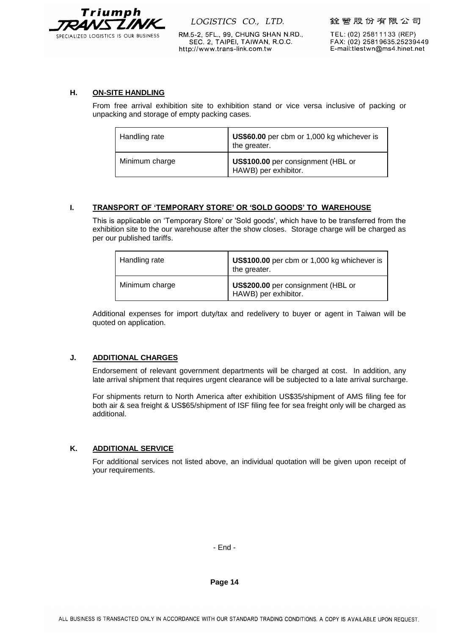

銓營股份有限公司

RM.5-2, 5FL., 99, CHUNG SHAN N.RD., SEC. 2, TAIPEI, TAIWAN, R.O.C. http://www.trans-link.com.tw

TEL: (02) 25811133 (REP) FAX: (02) 25819635.25239449 E-mail:tlestwn@ms4.hinet.net

# **H. ON-SITE HANDLING**

From free arrival exhibition site to exhibition stand or vice versa inclusive of packing or unpacking and storage of empty packing cases.

| Handling rate  | US\$60.00 per cbm or 1,000 kg whichever is<br>the greater. |
|----------------|------------------------------------------------------------|
| Minimum charge | US\$100.00 per consignment (HBL or<br>HAWB) per exhibitor. |

# **I. TRANSPORT OF 'TEMPORARY STORE' OR 'SOLD GOODS' TO WAREHOUSE**

This is applicable on 'Temporary Store' or 'Sold goods', which have to be transferred from the exhibition site to the our warehouse after the show closes. Storage charge will be charged as per our published tariffs.

| Handling rate  | US\$100.00 per cbm or 1,000 kg whichever is<br>the greater. |
|----------------|-------------------------------------------------------------|
| Minimum charge | US\$200.00 per consignment (HBL or<br>HAWB) per exhibitor.  |

Additional expenses for import duty/tax and redelivery to buyer or agent in Taiwan will be quoted on application.

# **J. ADDITIONAL CHARGES**

Endorsement of relevant government departments will be charged at cost. In addition, any late arrival shipment that requires urgent clearance will be subjected to a late arrival surcharge.

For shipments return to North America after exhibition US\$35/shipment of AMS filing fee for both air & sea freight & US\$65/shipment of ISF filing fee for sea freight only will be charged as additional.

# **K. ADDITIONAL SERVICE**

For additional services not listed above, an individual quotation will be given upon receipt of your requirements.

- End -